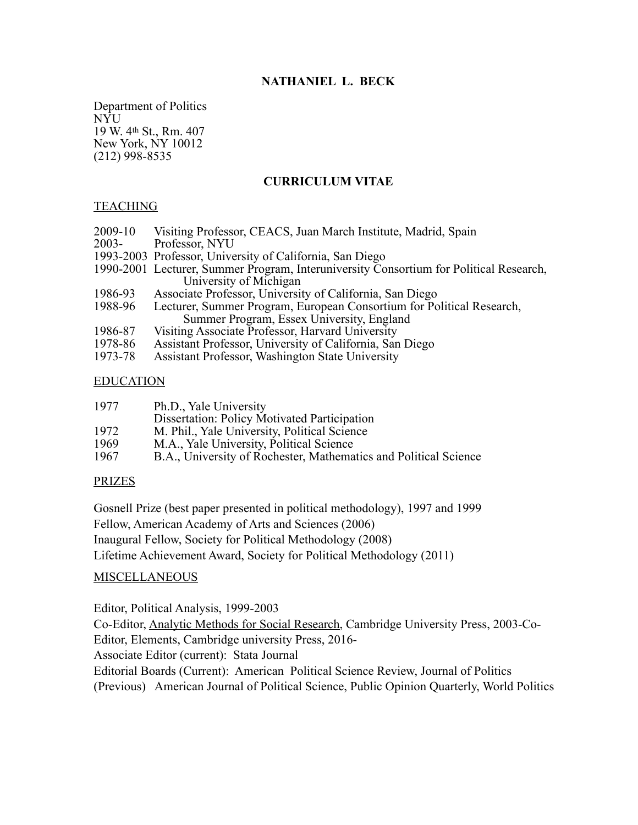# **NATHANIEL L. BECK**

Department of Politics NYU 19 W. 4th St., Rm. 407 New York, NY 10012 (212) 998-8535

# **CURRICULUM VITAE**

## **TEACHING**

- 2009-10 Visiting Professor, CEACS, Juan March Institute, Madrid, Spain
- Professor, NYU
- 1993-2003 Professor, University of California, San Diego
- 1990-2001 Lecturer, Summer Program, Interuniversity Consortium for Political Research, University of Michigan
- 1986-93 Associate Professor, University of California, San Diego<br>1988-96 Lecturer, Summer Program, European Consortium for Po
- Lecturer, Summer Program, European Consortium for Political Research, Summer Program, Essex University, England
- 1986-87 Visiting Associate Professor, Harvard University<br>1978-86 Assistant Professor, University of California, San
- 1978-86 Assistant Professor, University of California, San Diego
- Assistant Professor, Washington State University

### EDUCATION

| 1977 | Ph.D., Yale University                                           |
|------|------------------------------------------------------------------|
|      | Dissertation: Policy Motivated Participation                     |
| 1972 | M. Phil., Yale University, Political Science                     |
| 1969 | M.A., Yale University, Political Science                         |
| 1967 | B.A., University of Rochester, Mathematics and Political Science |

### PRIZES

Gosnell Prize (best paper presented in political methodology), 1997 and 1999 Fellow, American Academy of Arts and Sciences (2006) Inaugural Fellow, Society for Political Methodology (2008) Lifetime Achievement Award, Society for Political Methodology (2011)

### MISCELLANEOUS

Editor, Political Analysis, 1999-2003

Co-Editor, Analytic Methods for Social Research, Cambridge University Press, 2003-Co-Editor, Elements, Cambridge university Press, 2016-

Associate Editor (current): Stata Journal

Editorial Boards (Current): American Political Science Review, Journal of Politics (Previous) American Journal of Political Science, Public Opinion Quarterly, World Politics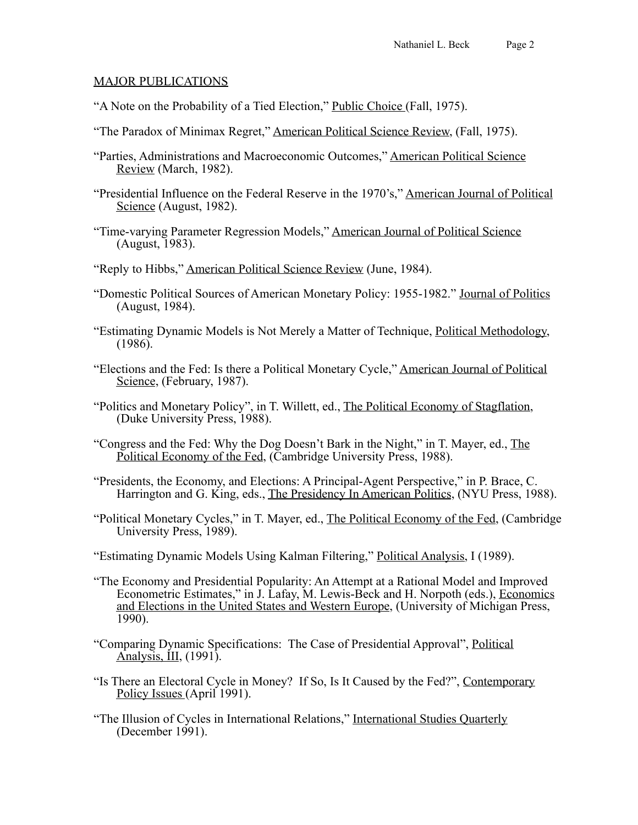# MAJOR PUBLICATIONS

- "A Note on the Probability of a Tied Election," Public Choice (Fall, 1975).
- "The Paradox of Minimax Regret," American Political Science Review, (Fall, 1975).
- "Parties, Administrations and Macroeconomic Outcomes," American Political Science Review (March, 1982).
- "Presidential Influence on the Federal Reserve in the 1970's," American Journal of Political Science (August, 1982).
- "Time-varying Parameter Regression Models," American Journal of Political Science (August, 1983).
- "Reply to Hibbs," American Political Science Review (June, 1984).
- "Domestic Political Sources of American Monetary Policy: 1955-1982." Journal of Politics (August, 1984).
- "Estimating Dynamic Models is Not Merely a Matter of Technique, Political Methodology,  $(1986)$ .
- "Elections and the Fed: Is there a Political Monetary Cycle," American Journal of Political Science, (February, 1987).
- "Politics and Monetary Policy", in T. Willett, ed., The Political Economy of Stagflation, (Duke University Press, 1988).
- "Congress and the Fed: Why the Dog Doesn't Bark in the Night," in T. Mayer, ed., The Political Economy of the Fed, (Cambridge University Press, 1988).
- "Presidents, the Economy, and Elections: A Principal-Agent Perspective," in P. Brace, C. Harrington and G. King, eds., The Presidency In American Politics, (NYU Press, 1988).
- "Political Monetary Cycles," in T. Mayer, ed., The Political Economy of the Fed, (Cambridge University Press, 1989).
- "Estimating Dynamic Models Using Kalman Filtering," Political Analysis, I (1989).
- "The Economy and Presidential Popularity: An Attempt at a Rational Model and Improved Econometric Estimates," in J. Lafay, M. Lewis-Beck and H. Norpoth (eds.), Economics and Elections in the United States and Western Europe, (University of Michigan Press, 1990).
- "Comparing Dynamic Specifications: The Case of Presidential Approval", Political Analysis, III, (1991).
- "Is There an Electoral Cycle in Money? If So, Is It Caused by the Fed?", Contemporary Policy Issues (April 1991).
- "The Illusion of Cycles in International Relations," International Studies Quarterly  $(December 1991)$ .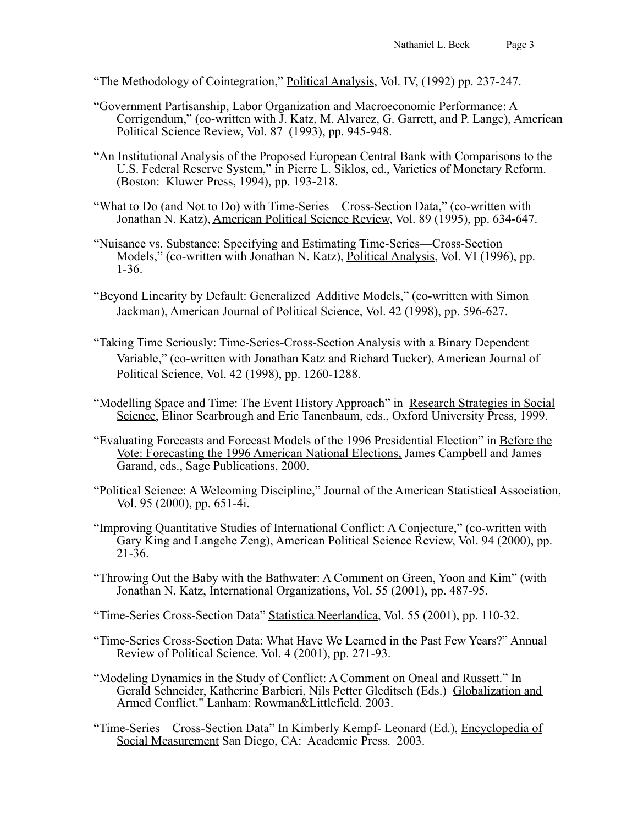- "The Methodology of Cointegration," Political Analysis, Vol. IV, (1992) pp. 237-247.
- "Government Partisanship, Labor Organization and Macroeconomic Performance: A Corrigendum," (co-written with J. Katz, M. Alvarez, G. Garrett, and P. Lange), American Political Science Review, Vol. 87 (1993), pp. 945-948.
- "An Institutional Analysis of the Proposed European Central Bank with Comparisons to the U.S. Federal Reserve System," in Pierre L. Siklos, ed., Varieties of Monetary Reform. (Boston: Kluwer Press, 1994), pp. 193-218.
- "What to Do (and Not to Do) with Time-Series—Cross-Section Data," (co-written with Jonathan N. Katz), American Political Science Review, Vol. 89 (1995), pp. 634-647.
- "Nuisance vs. Substance: Specifying and Estimating Time-Series—Cross-Section Models," (co-written with Jonathan N. Katz), Political Analysis, Vol. VI (1996), pp. 1-36.
- "Beyond Linearity by Default: Generalized Additive Models," (co-written with Simon Jackman), American Journal of Political Science, Vol. 42 (1998), pp. 596-627.
- "Taking Time Seriously: Time-Series-Cross-Section Analysis with a Binary Dependent Variable," (co-written with Jonathan Katz and Richard Tucker), American Journal of Political Science, Vol. 42 (1998), pp. 1260-1288.
- "Modelling Space and Time: The Event History Approach" in Research Strategies in Social Science, Elinor Scarbrough and Eric Tanenbaum, eds., Oxford University Press, 1999.
- "Evaluating Forecasts and Forecast Models of the 1996 Presidential Election" in Before the Vote: Forecasting the 1996 American National Elections, James Campbell and James Garand, eds., Sage Publications, 2000.
- "Political Science: A Welcoming Discipline," Journal of the American Statistical Association, Vol. 95 (2000), pp. 651-4i.
- "Improving Quantitative Studies of International Conflict: A Conjecture," (co-written with Gary King and Langche Zeng), American Political Science Review, Vol. 94 (2000), pp.  $21 - 36$ .
- "Throwing Out the Baby with the Bathwater: A Comment on Green, Yoon and Kim" (with Jonathan N. Katz, International Organizations, Vol. 55 (2001), pp. 487-95.
- "Time-Series Cross-Section Data" Statistica Neerlandica, Vol. 55 (2001), pp. 110-32.
- "Time-Series Cross-Section Data: What Have We Learned in the Past Few Years?" Annual Review of Political Science. Vol. 4 (2001), pp. 271-93.
- "Modeling Dynamics in the Study of Conflict: A Comment on Oneal and Russett." In Gerald Schneider, Katherine Barbieri, Nils Petter Gleditsch (Eds.) Globalization and Armed Conflict." Lanham: Rowman&Littlefield. 2003.
- "Time-Series—Cross-Section Data" In Kimberly Kempf- Leonard (Ed.), Encyclopedia of Social Measurement San Diego, CA: Academic Press. 2003.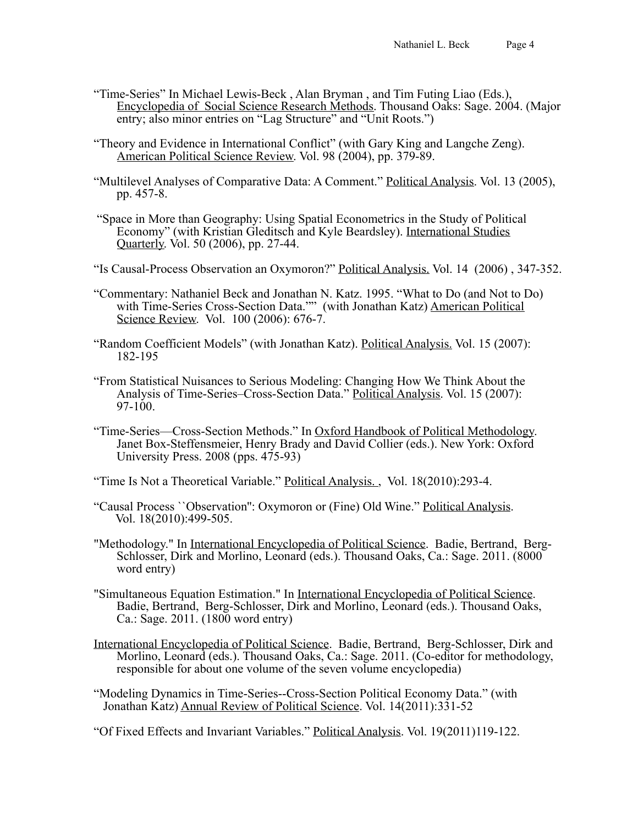- "Time-Series" In Michael Lewis-Beck , Alan Bryman , and Tim Futing Liao (Eds.), Encyclopedia of Social Science Research Methods. Thousand Oaks: Sage. 2004. (Major entry; also minor entries on "Lag Structure" and "Unit Roots.")
- "Theory and Evidence in International Conflict" (with Gary King and Langche Zeng). American Political Science Review. Vol. 98 (2004), pp. 379-89.
- "Multilevel Analyses of Comparative Data: A Comment." Political Analysis. Vol. 13 (2005), pp. 457-8.
- "Space in More than Geography: Using Spatial Econometrics in the Study of Political Economy" (with Kristian Gleditsch and Kyle Beardsley). International Studies Quarterly. Vol. 50 (2006), pp. 27-44.
- "Is Causal-Process Observation an Oxymoron?" Political Analysis. Vol. 14 (2006) , 347-352.
- "Commentary: Nathaniel Beck and Jonathan N. Katz. 1995. "What to Do (and Not to Do) with Time-Series Cross-Section Data."" (with Jonathan Katz) American Political Science Review. Vol. 100 (2006): 676-7.
- "Random Coefficient Models" (with Jonathan Katz). Political Analysis. Vol. 15 (2007): 182-195
- "From Statistical Nuisances to Serious Modeling: Changing How We Think About the Analysis of Time-Series–Cross-Section Data." Political Analysis. Vol. 15 (2007):  $97-100$ .
- "Time-Series—Cross-Section Methods." In Oxford Handbook of Political Methodology. Janet Box-Steffensmeier, Henry Brady and David Collier (eds.). New York: Oxford University Press. 2008 (pps. 475-93)

"Time Is Not a Theoretical Variable." Political Analysis. , Vol. 18(2010):293-4.

- "Causal Process ``Observation'': Oxymoron or (Fine) Old Wine." Political Analysis. Vol. 18(2010):499-505.
- "Methodology." In International Encyclopedia of Political Science. Badie, Bertrand, Berg-Schlosser, Dirk and Morlino, Leonard (eds.). Thousand Oaks, Ca.: Sage. 2011. (8000 word entry)
- "Simultaneous Equation Estimation." In International Encyclopedia of Political Science. Badie, Bertrand, Berg-Schlosser, Dirk and Morlino, Leonard (eds.). Thousand Oaks, Ca.: Sage. 2011. (1800 word entry)
- International Encyclopedia of Political Science. Badie, Bertrand, Berg-Schlosser, Dirk and Morlino, Leonard (eds.). Thousand Oaks, Ca.: Sage. 2011. (Co-editor for methodology, responsible for about one volume of the seven volume encyclopedia)
- "Modeling Dynamics in Time-Series--Cross-Section Political Economy Data." (with Jonathan Katz) Annual Review of Political Science. Vol. 14(2011):331-52

"Of Fixed Effects and Invariant Variables." Political Analysis. Vol. 19(2011)119-122.